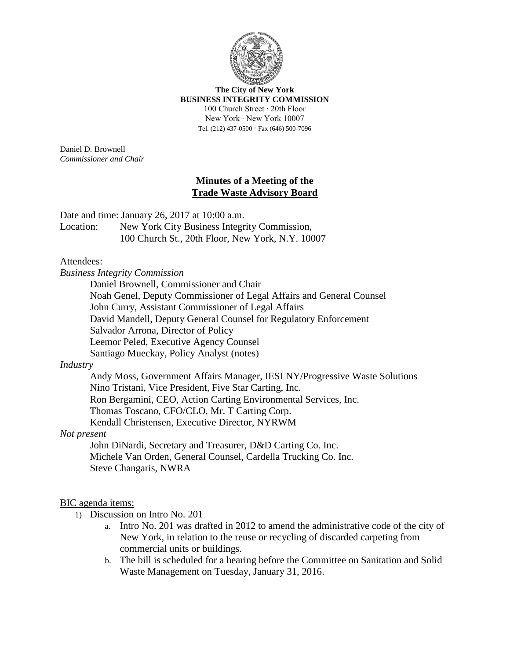

**The City of New York BUSINESS INTEGRITY COMMISSION** 100 Church Street ∙ 20th Floor New York ∙ New York 10007 Tel. (212) 437-0500 ∙ Fax (646) 500-7096

Daniel D. Brownell *Commissioner and Chair*

### **Minutes of a Meeting of the Trade Waste Advisory Board**

Date and time: January 26, 2017 at 10:00 a.m.

Location: New York City Business Integrity Commission, 100 Church St., 20th Floor, New York, N.Y. 10007

# Attendees:

*Business Integrity Commission* Daniel Brownell, Commissioner and Chair Noah Genel, Deputy Commissioner of Legal Affairs and General Counsel John Curry, Assistant Commissioner of Legal Affairs David Mandell, Deputy General Counsel for Regulatory Enforcement Salvador Arrona, Director of Policy Leemor Peled, Executive Agency Counsel Santiago Mueckay, Policy Analyst (notes)

### *Industry*

Andy Moss, Government Affairs Manager, IESI NY/Progressive Waste Solutions Nino Tristani, Vice President, Five Star Carting, Inc. Ron Bergamini, CEO, Action Carting Environmental Services, Inc. Thomas Toscano, CFO/CLO, Mr. T Carting Corp. Kendall Christensen, Executive Director, NYRWM

# *Not present*

John DiNardi, Secretary and Treasurer, D&D Carting Co. Inc. Michele Van Orden, General Counsel, Cardella Trucking Co. Inc. Steve Changaris, NWRA

### BIC agenda items:

- 1) Discussion on Intro No. 201
	- a. Intro No. 201 was drafted in 2012 to amend the administrative code of the city of New York, in relation to the reuse or recycling of discarded carpeting from commercial units or buildings.
	- b. The bill is scheduled for a hearing before the Committee on Sanitation and Solid Waste Management on Tuesday, January 31, 2016.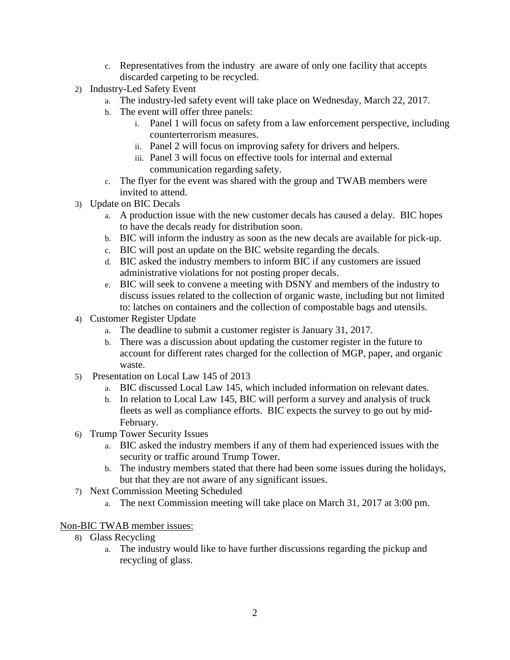- c. Representatives from the industry are aware of only one facility that accepts discarded carpeting to be recycled.
- 2) Industry-Led Safety Event
	- a. The industry-led safety event will take place on Wednesday, March 22, 2017.
	- b. The event will offer three panels:
		- i. Panel 1 will focus on safety from a law enforcement perspective, including counterterrorism measures.
		- ii. Panel 2 will focus on improving safety for drivers and helpers.
		- iii. Panel 3 will focus on effective tools for internal and external communication regarding safety.
	- c. The flyer for the event was shared with the group and TWAB members were invited to attend.
- 3) Update on BIC Decals
	- a. A production issue with the new customer decals has caused a delay. BIC hopes to have the decals ready for distribution soon.
	- b. BIC will inform the industry as soon as the new decals are available for pick-up.
	- c. BIC will post an update on the BIC website regarding the decals.
	- d. BIC asked the industry members to inform BIC if any customers are issued administrative violations for not posting proper decals.
	- e. BIC will seek to convene a meeting with DSNY and members of the industry to discuss issues related to the collection of organic waste, including but not limited to: latches on containers and the collection of compostable bags and utensils.
- 4) Customer Register Update
	- a. The deadline to submit a customer register is January 31, 2017.
	- b. There was a discussion about updating the customer register in the future to account for different rates charged for the collection of MGP, paper, and organic waste.
- 5) Presentation on Local Law 145 of 2013
	- a. BIC discussed Local Law 145, which included information on relevant dates.
	- b. In relation to Local Law 145, BIC will perform a survey and analysis of truck fleets as well as compliance efforts. BIC expects the survey to go out by mid-February.
- 6) Trump Tower Security Issues
	- a. BIC asked the industry members if any of them had experienced issues with the security or traffic around Trump Tower.
	- b. The industry members stated that there had been some issues during the holidays, but that they are not aware of any significant issues.
- 7) Next Commission Meeting Scheduled
	- a. The next Commission meeting will take place on March 31, 2017 at 3:00 pm.

### Non-BIC TWAB member issues:

- 8) Glass Recycling
	- a. The industry would like to have further discussions regarding the pickup and recycling of glass.